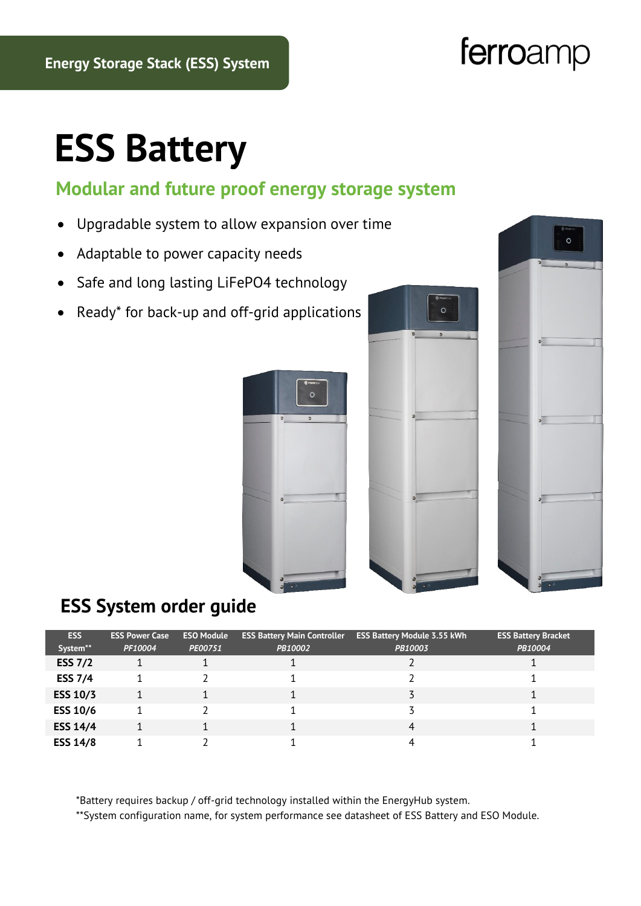# ferroamp

# **ESS Battery**

#### **Modular and future proof energy storage system**

- Upgradable system to allow expansion over time
- Adaptable to power capacity needs
- Safe and long lasting LiFePO4 technology
- Ready\* for back-up and off-grid applications







#### **ESS System order guide**

| <b>ESS</b>      | <b>ESS Power Case</b> | <b>ESO Module</b> | <b>ESS Battery Main Controller</b> | <b>ESS Battery Module 3.55 kWh</b> | <b>ESS Battery Bracket</b> |
|-----------------|-----------------------|-------------------|------------------------------------|------------------------------------|----------------------------|
| System**        | PF10004               | PE00751           | PB10002                            | PB10003                            | PB10004                    |
| <b>ESS 7/2</b>  |                       |                   |                                    |                                    |                            |
| <b>ESS 7/4</b>  |                       |                   |                                    |                                    |                            |
| <b>ESS 10/3</b> |                       |                   |                                    |                                    |                            |
| <b>ESS 10/6</b> |                       |                   |                                    |                                    |                            |
| <b>ESS 14/4</b> |                       |                   |                                    | 4                                  |                            |
| <b>ESS 14/8</b> |                       |                   |                                    |                                    |                            |

\*Battery requires backup / off-grid technology installed within the EnergyHub system.

\*\*System configuration name, for system performance see datasheet of ESS Battery and ESO Module.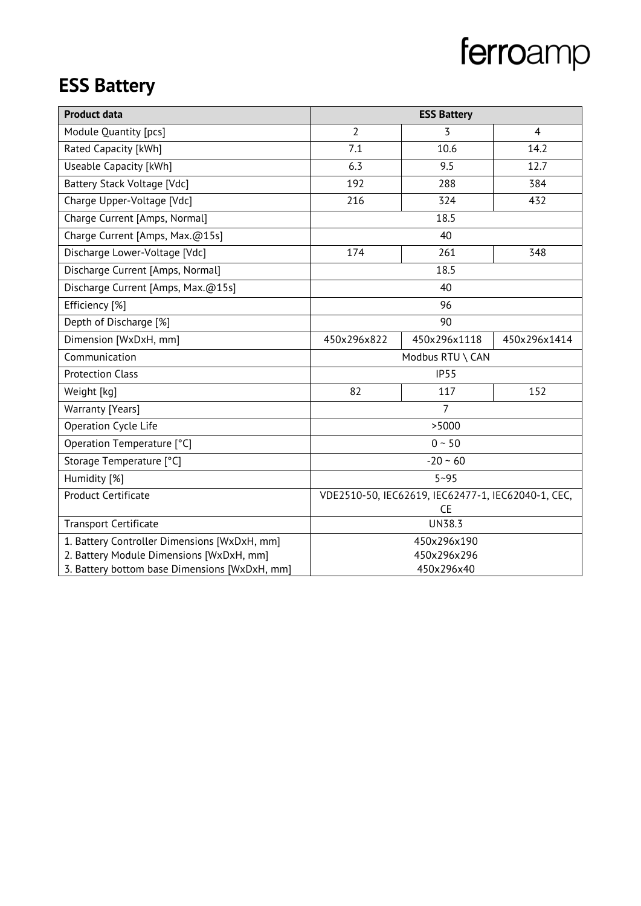# ferroamp

### **ESS Battery**

| <b>Product data</b>                           | <b>ESS Battery</b>                                 |                  |                |  |
|-----------------------------------------------|----------------------------------------------------|------------------|----------------|--|
| Module Quantity [pcs]                         | $\overline{2}$                                     | 3                | $\overline{4}$ |  |
| Rated Capacity [kWh]                          | 7.1                                                | 10.6             | 14.2           |  |
| Useable Capacity [kWh]                        | 6.3                                                | 9.5              | 12.7           |  |
| Battery Stack Voltage [Vdc]                   | 192                                                | 288              | 384            |  |
| Charge Upper-Voltage [Vdc]                    | 216                                                | 324              | 432            |  |
| Charge Current [Amps, Normal]                 | 18.5                                               |                  |                |  |
| Charge Current [Amps, Max.@15s]               |                                                    | 40               |                |  |
| Discharge Lower-Voltage [Vdc]                 | 174                                                | 261              | 348            |  |
| Discharge Current [Amps, Normal]              |                                                    | 18.5             |                |  |
| Discharge Current [Amps, Max.@15s]            |                                                    | 40               |                |  |
| Efficiency [%]                                |                                                    | 96               |                |  |
| Depth of Discharge [%]                        |                                                    | 90               |                |  |
| Dimension [WxDxH, mm]                         | 450x296x822                                        | 450x296x1118     | 450x296x1414   |  |
| Communication                                 |                                                    | Modbus RTU \ CAN |                |  |
| <b>Protection Class</b>                       |                                                    | IP55             |                |  |
| Weight [kg]                                   | 82                                                 | 117              | 152            |  |
| Warranty [Years]                              |                                                    | 7                |                |  |
| Operation Cycle Life                          |                                                    | >5000            |                |  |
| Operation Temperature [°C]                    | $0 - 50$                                           |                  |                |  |
| Storage Temperature [°C]                      | $-20 - 60$                                         |                  |                |  |
| Humidity [%]                                  | $5 - 95$                                           |                  |                |  |
| <b>Product Certificate</b>                    | VDE2510-50, IEC62619, IEC62477-1, IEC62040-1, CEC, |                  |                |  |
|                                               |                                                    | <b>CE</b>        |                |  |
| <b>Transport Certificate</b>                  | <b>UN38.3</b>                                      |                  |                |  |
| 1. Battery Controller Dimensions [WxDxH, mm]  | 450x296x190                                        |                  |                |  |
| 2. Battery Module Dimensions [WxDxH, mm]      | 450x296x296                                        |                  |                |  |
| 3. Battery bottom base Dimensions [WxDxH, mm] | 450x296x40                                         |                  |                |  |